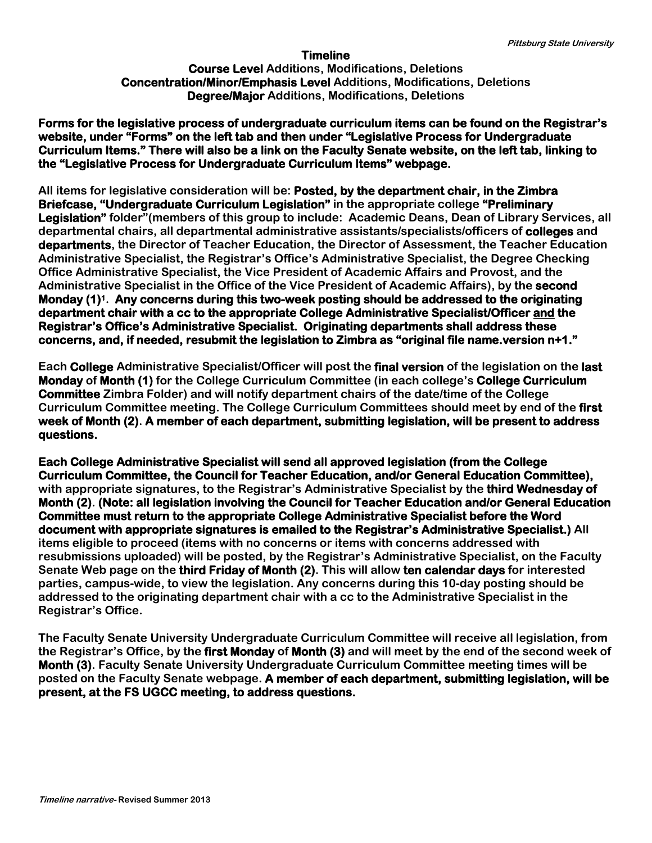## **Timeline**

## **Course Level Additions, Modifications, Deletions Concentration/Minor/Emphasis Level Additions, Modifications, Deletions Degree/Major Additions, Modifications, Deletions**

**Forms for the legislative process of undergraduate curriculum items can be found on the Registrar's website, under "Forms" on the left tab and then under "Legislative Process for Undergraduate Curriculum Items." There will also be a link on the Faculty Senate website, on the left tab, linking to the "Legislative Process for Undergraduate Curriculum Items" webpage.** 

**All items for legislative consideration will be: Posted, by the department chair, in the Zimbra Briefcase, "Undergraduate Curriculum Legislation" in the appropriate college "Preliminary Legislation" folder"(members of this group to include: Academic Deans, Dean of Library Services, all departmental chairs, all departmental administrative assistants/specialists/officers of colleges and departments, the Director of Teacher Education, the Director of Assessment, the Teacher Education Administrative Specialist, the Registrar's Office's Administrative Specialist, the Degree Checking Office Administrative Specialist, the Vice President of Academic Affairs and Provost, and the Administrative Specialist in the Office of the Vice President of Academic Affairs), by the second Monday (1)1. Any concerns during this two-week posting should be addressed to the originating department chair with a cc to the appropriate College Administrative Specialist/Officer and the Registrar's Office's Administrative Specialist. Originating departments shall address these concerns, and, if needed, resubmit the legislation to Zimbra as "original file name.version n+1."**

**Each College Administrative Specialist/Officer will post the final version of the legislation on the last Monday of Month (1) for the College Curriculum Committee (in each college's College Curriculum Committee Zimbra Folder) and will notify department chairs of the date/time of the College Curriculum Committee meeting. The College Curriculum Committees should meet by end of the first week of Month (2). A member of each department, submitting legislation, will be present to address questions.** 

**Each College Administrative Specialist will send all approved legislation (from the College Curriculum Committee, the Council for Teacher Education, and/or General Education Committee), with appropriate signatures, to the Registrar's Administrative Specialist by the third Wednesday of Month (2). (Note: all legislation involving the Council for Teacher Education and/or General Education Committee must return to the appropriate College Administrative Specialist before the Word document with appropriate signatures is emailed to the Registrar's Administrative Specialist.) All items eligible to proceed (items with no concerns or items with concerns addressed with resubmissions uploaded) will be posted, by the Registrar's Administrative Specialist, on the Faculty Senate Web page on the third Friday of Month (2). This will allow ten calendar days for interested parties, campus-wide, to view the legislation. Any concerns during this 10-day posting should be addressed to the originating department chair with a cc to the Administrative Specialist in the Registrar's Office.** 

**The Faculty Senate University Undergraduate Curriculum Committee will receive all legislation, from the Registrar's Office, by the first Monday of Month (3) and will meet by the end of the second week of Month (3). Faculty Senate University Undergraduate Curriculum Committee meeting times will be posted on the Faculty Senate webpage. A member of each department, submitting legislation, will be present, at the FS UGCC meeting, to address questions.**